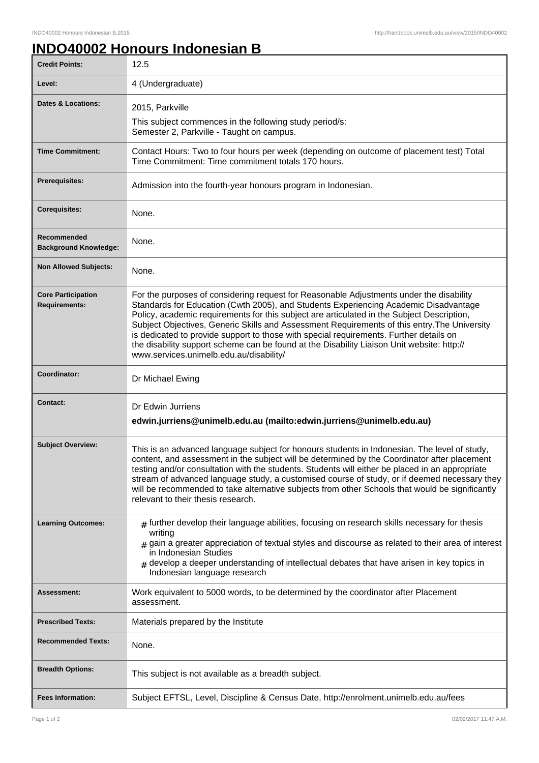## **INDO40002 Honours Indonesian B**

| <b>Credit Points:</b>                             | 12.5                                                                                                                                                                                                                                                                                                                                                                                                                                                                                                                                                                                                             |
|---------------------------------------------------|------------------------------------------------------------------------------------------------------------------------------------------------------------------------------------------------------------------------------------------------------------------------------------------------------------------------------------------------------------------------------------------------------------------------------------------------------------------------------------------------------------------------------------------------------------------------------------------------------------------|
| Level:                                            | 4 (Undergraduate)                                                                                                                                                                                                                                                                                                                                                                                                                                                                                                                                                                                                |
| <b>Dates &amp; Locations:</b>                     | 2015, Parkville                                                                                                                                                                                                                                                                                                                                                                                                                                                                                                                                                                                                  |
|                                                   | This subject commences in the following study period/s:<br>Semester 2, Parkville - Taught on campus.                                                                                                                                                                                                                                                                                                                                                                                                                                                                                                             |
| <b>Time Commitment:</b>                           | Contact Hours: Two to four hours per week (depending on outcome of placement test) Total<br>Time Commitment: Time commitment totals 170 hours.                                                                                                                                                                                                                                                                                                                                                                                                                                                                   |
| <b>Prerequisites:</b>                             | Admission into the fourth-year honours program in Indonesian.                                                                                                                                                                                                                                                                                                                                                                                                                                                                                                                                                    |
| <b>Corequisites:</b>                              | None.                                                                                                                                                                                                                                                                                                                                                                                                                                                                                                                                                                                                            |
| Recommended<br><b>Background Knowledge:</b>       | None.                                                                                                                                                                                                                                                                                                                                                                                                                                                                                                                                                                                                            |
| <b>Non Allowed Subjects:</b>                      | None.                                                                                                                                                                                                                                                                                                                                                                                                                                                                                                                                                                                                            |
| <b>Core Participation</b><br><b>Requirements:</b> | For the purposes of considering request for Reasonable Adjustments under the disability<br>Standards for Education (Cwth 2005), and Students Experiencing Academic Disadvantage<br>Policy, academic requirements for this subject are articulated in the Subject Description,<br>Subject Objectives, Generic Skills and Assessment Requirements of this entry. The University<br>is dedicated to provide support to those with special requirements. Further details on<br>the disability support scheme can be found at the Disability Liaison Unit website: http://<br>www.services.unimelb.edu.au/disability/ |
| Coordinator:                                      | Dr Michael Ewing                                                                                                                                                                                                                                                                                                                                                                                                                                                                                                                                                                                                 |
| <b>Contact:</b>                                   | Dr Edwin Jurriens<br>edwin.jurriens@unimelb.edu.au (mailto:edwin.jurriens@unimelb.edu.au)                                                                                                                                                                                                                                                                                                                                                                                                                                                                                                                        |
| <b>Subject Overview:</b>                          | This is an advanced language subject for honours students in Indonesian. The level of study,<br>content, and assessment in the subject will be determined by the Coordinator after placement<br>testing and/or consultation with the students. Students will either be placed in an appropriate<br>stream of advanced language study, a customised course of study, or if deemed necessary they<br>will be recommended to take alternative subjects from other Schools that would be significantly<br>relevant to their thesis research.                                                                         |
| <b>Learning Outcomes:</b>                         | $_{\#}$ further develop their language abilities, focusing on research skills necessary for thesis<br>writing<br>$#$ gain a greater appreciation of textual styles and discourse as related to their area of interest<br>in Indonesian Studies<br>develop a deeper understanding of intellectual debates that have arisen in key topics in<br>Indonesian language research                                                                                                                                                                                                                                       |
| Assessment:                                       | Work equivalent to 5000 words, to be determined by the coordinator after Placement<br>assessment.                                                                                                                                                                                                                                                                                                                                                                                                                                                                                                                |
| <b>Prescribed Texts:</b>                          | Materials prepared by the Institute                                                                                                                                                                                                                                                                                                                                                                                                                                                                                                                                                                              |
| <b>Recommended Texts:</b>                         | None.                                                                                                                                                                                                                                                                                                                                                                                                                                                                                                                                                                                                            |
| <b>Breadth Options:</b>                           | This subject is not available as a breadth subject.                                                                                                                                                                                                                                                                                                                                                                                                                                                                                                                                                              |
| <b>Fees Information:</b>                          | Subject EFTSL, Level, Discipline & Census Date, http://enrolment.unimelb.edu.au/fees                                                                                                                                                                                                                                                                                                                                                                                                                                                                                                                             |